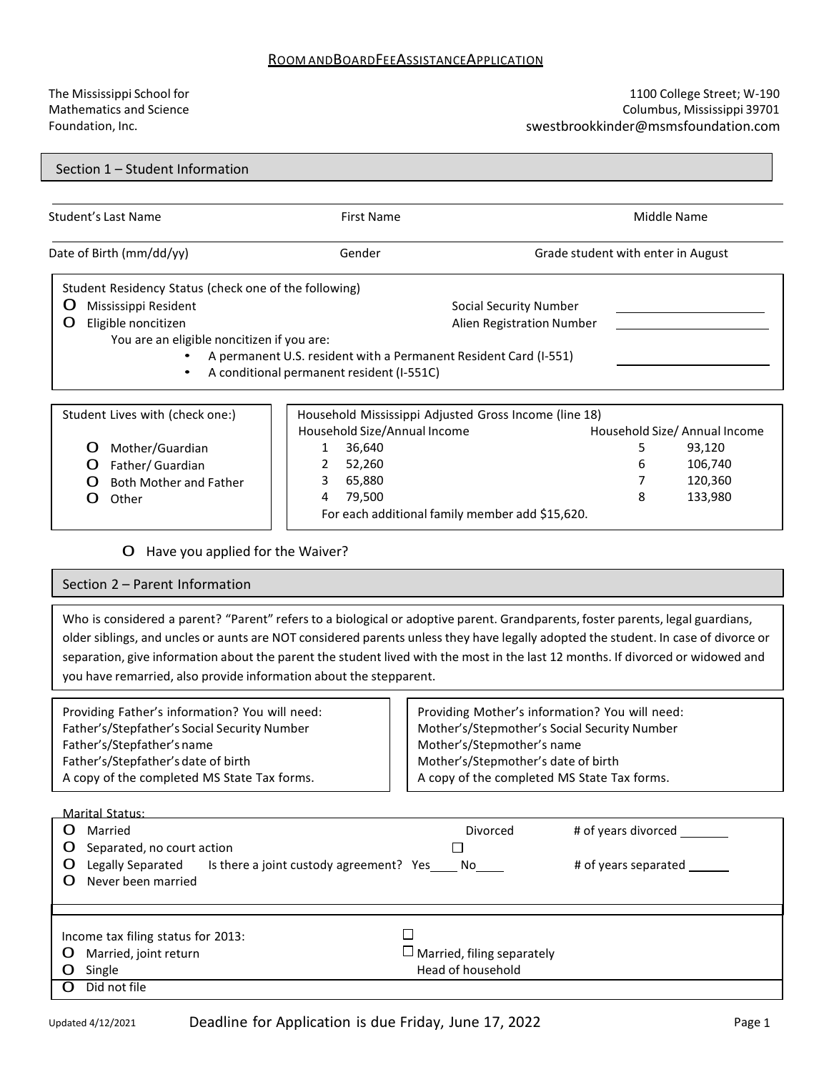## ROOM ANDBOARDFEEASSISTANCEAPPLICATION

The Mississippi School for Mathematics and Science Foundation, Inc.

## 1100 College Street; W-190 Columbus, Mississippi 39701 swestbrookkinder@msmsfoundation.com

Section 1 – Student Information

| Student's Last Name                                                                                                                                                                                                                                                                                                                                                                                                                                                           | <b>First Name</b>                                                                                                                                                                                    |                                                                                                                                                                                                                    | <b>Middle Name</b>                                                       |
|-------------------------------------------------------------------------------------------------------------------------------------------------------------------------------------------------------------------------------------------------------------------------------------------------------------------------------------------------------------------------------------------------------------------------------------------------------------------------------|------------------------------------------------------------------------------------------------------------------------------------------------------------------------------------------------------|--------------------------------------------------------------------------------------------------------------------------------------------------------------------------------------------------------------------|--------------------------------------------------------------------------|
| Date of Birth (mm/dd/yy)                                                                                                                                                                                                                                                                                                                                                                                                                                                      | Gender                                                                                                                                                                                               | Grade student with enter in August                                                                                                                                                                                 |                                                                          |
| Student Residency Status (check one of the following)<br>Ő<br>Mississippi Resident<br>Eligible noncitizen<br>O<br>You are an eligible noncitizen if you are:                                                                                                                                                                                                                                                                                                                  | A permanent U.S. resident with a Permanent Resident Card (I-551)<br>A conditional permanent resident (I-551C)                                                                                        | <b>Social Security Number</b><br>Alien Registration Number                                                                                                                                                         |                                                                          |
| Student Lives with (check one:)<br>Mother/Guardian<br>Ő<br>Father/ Guardian<br>O<br><b>Both Mother and Father</b><br>O<br>Other                                                                                                                                                                                                                                                                                                                                               | Household Mississippi Adjusted Gross Income (line 18)<br>Household Size/Annual Income<br>36,640<br>1<br>2<br>52,260<br>3<br>65,880<br>79,500<br>4<br>For each additional family member add \$15,620. | 5<br>6<br>7<br>8                                                                                                                                                                                                   | Household Size/ Annual Income<br>93,120<br>106,740<br>120,360<br>133,980 |
| Have you applied for the Waiver?<br>O                                                                                                                                                                                                                                                                                                                                                                                                                                         |                                                                                                                                                                                                      |                                                                                                                                                                                                                    |                                                                          |
| Section 2 - Parent Information                                                                                                                                                                                                                                                                                                                                                                                                                                                |                                                                                                                                                                                                      |                                                                                                                                                                                                                    |                                                                          |
| Who is considered a parent? "Parent" refers to a biological or adoptive parent. Grandparents, foster parents, legal guardians,<br>older siblings, and uncles or aunts are NOT considered parents unless they have legally adopted the student. In case of divorce or<br>separation, give information about the parent the student lived with the most in the last 12 months. If divorced or widowed and<br>you have remarried, also provide information about the stepparent. |                                                                                                                                                                                                      |                                                                                                                                                                                                                    |                                                                          |
| Providing Father's information? You will need:<br>Father's/Stepfather's Social Security Number<br>Father's/Stepfather's name<br>Father's/Stepfather's date of birth<br>A copy of the completed MS State Tax forms.                                                                                                                                                                                                                                                            |                                                                                                                                                                                                      | Providing Mother's information? You will need:<br>Mother's/Stepmother's Social Security Number<br>Mother's/Stepmother's name<br>Mother's/Stepmother's date of birth<br>A copy of the completed MS State Tax forms. |                                                                          |
| Marital Status:                                                                                                                                                                                                                                                                                                                                                                                                                                                               |                                                                                                                                                                                                      |                                                                                                                                                                                                                    |                                                                          |
| Married<br>Ő<br>Separated, no court action<br>Ő<br>Legally Separated<br>Ő<br>Never been married<br>Ő                                                                                                                                                                                                                                                                                                                                                                          | П<br>Is there a joint custody agreement? Yes No                                                                                                                                                      | Divorced<br># of years divorced __                                                                                                                                                                                 | # of years separated                                                     |
| Income tax filing status for 2013:<br>Married, joint return<br>Ő<br>Single<br>Did not file<br>O.                                                                                                                                                                                                                                                                                                                                                                              | □                                                                                                                                                                                                    | $\Box$ Married, filing separately<br>Head of household                                                                                                                                                             |                                                                          |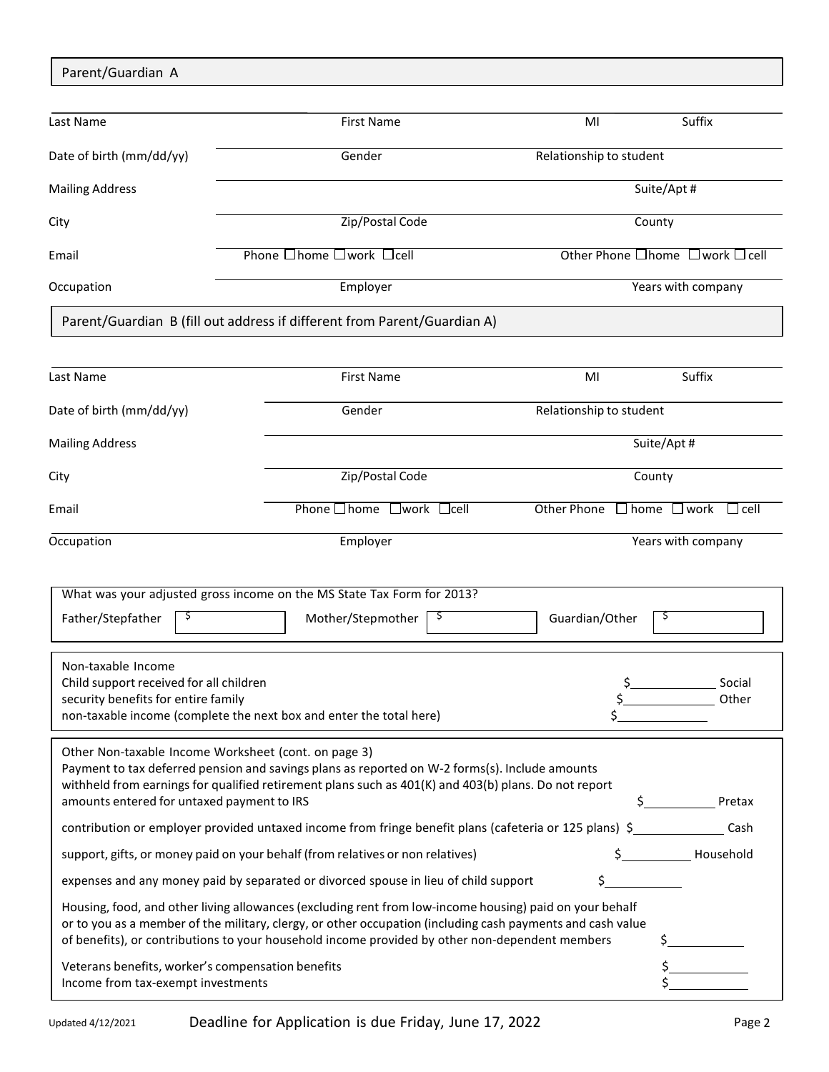| Parent/Guardian A                                                                                                                                            |   |                                                                                                                                                                                                                                                                                                                          |                         |                                                        |  |  |
|--------------------------------------------------------------------------------------------------------------------------------------------------------------|---|--------------------------------------------------------------------------------------------------------------------------------------------------------------------------------------------------------------------------------------------------------------------------------------------------------------------------|-------------------------|--------------------------------------------------------|--|--|
|                                                                                                                                                              |   |                                                                                                                                                                                                                                                                                                                          |                         |                                                        |  |  |
| Last Name                                                                                                                                                    |   | <b>First Name</b>                                                                                                                                                                                                                                                                                                        | MI                      | Suffix                                                 |  |  |
| Date of birth (mm/dd/yy)                                                                                                                                     |   | Gender                                                                                                                                                                                                                                                                                                                   | Relationship to student |                                                        |  |  |
| <b>Mailing Address</b>                                                                                                                                       |   |                                                                                                                                                                                                                                                                                                                          |                         | Suite/Apt#                                             |  |  |
| City                                                                                                                                                         |   | Zip/Postal Code                                                                                                                                                                                                                                                                                                          |                         | County                                                 |  |  |
| Email                                                                                                                                                        |   | Phone $\square$ home $\square$ work $\square$ cell                                                                                                                                                                                                                                                                       |                         | Other Phone □ home □ work □ cell                       |  |  |
| Occupation                                                                                                                                                   |   | Employer                                                                                                                                                                                                                                                                                                                 |                         | Years with company                                     |  |  |
|                                                                                                                                                              |   | Parent/Guardian B (fill out address if different from Parent/Guardian A)                                                                                                                                                                                                                                                 |                         |                                                        |  |  |
|                                                                                                                                                              |   |                                                                                                                                                                                                                                                                                                                          |                         |                                                        |  |  |
| Last Name                                                                                                                                                    |   | <b>First Name</b>                                                                                                                                                                                                                                                                                                        | MI                      | Suffix                                                 |  |  |
| Date of birth (mm/dd/yy)                                                                                                                                     |   | Gender                                                                                                                                                                                                                                                                                                                   | Relationship to student |                                                        |  |  |
| <b>Mailing Address</b>                                                                                                                                       |   |                                                                                                                                                                                                                                                                                                                          |                         | Suite/Apt#                                             |  |  |
| City                                                                                                                                                         |   | Zip/Postal Code                                                                                                                                                                                                                                                                                                          |                         | County                                                 |  |  |
| Email                                                                                                                                                        |   | Phone □ home □ work □ cell                                                                                                                                                                                                                                                                                               | Other Phone             | $\Box$ home $\Box$ work<br>$\sqcup$ cell               |  |  |
| Occupation                                                                                                                                                   |   | Employer                                                                                                                                                                                                                                                                                                                 |                         | Years with company                                     |  |  |
|                                                                                                                                                              |   |                                                                                                                                                                                                                                                                                                                          |                         |                                                        |  |  |
| Father/Stepfather                                                                                                                                            | Ş | What was your adjusted gross income on the MS State Tax Form for 2013?<br>Mother/Stepmother<br>Ş.                                                                                                                                                                                                                        | Guardian/Other          | Ş                                                      |  |  |
|                                                                                                                                                              |   |                                                                                                                                                                                                                                                                                                                          |                         |                                                        |  |  |
| Non-taxable Income<br>Child support received for all children                                                                                                |   |                                                                                                                                                                                                                                                                                                                          |                         | $\frac{\zeta_{\text{max}}}{\zeta_{\text{max}}}$ Social |  |  |
| security benefits for entire family                                                                                                                          |   |                                                                                                                                                                                                                                                                                                                          |                         | \$ Other                                               |  |  |
|                                                                                                                                                              |   | non-taxable income (complete the next box and enter the total here)                                                                                                                                                                                                                                                      |                         |                                                        |  |  |
| Other Non-taxable Income Worksheet (cont. on page 3)                                                                                                         |   | Payment to tax deferred pension and savings plans as reported on W-2 forms(s). Include amounts<br>withheld from earnings for qualified retirement plans such as 401(K) and 403(b) plans. Do not report                                                                                                                   |                         | Pretax                                                 |  |  |
| amounts entered for untaxed payment to IRS<br>contribution or employer provided untaxed income from fringe benefit plans (cafeteria or 125 plans) \$<br>Cash |   |                                                                                                                                                                                                                                                                                                                          |                         |                                                        |  |  |
| support, gifts, or money paid on your behalf (from relatives or non relatives)                                                                               |   |                                                                                                                                                                                                                                                                                                                          |                         |                                                        |  |  |
|                                                                                                                                                              |   | expenses and any money paid by separated or divorced spouse in lieu of child support                                                                                                                                                                                                                                     | \$                      |                                                        |  |  |
|                                                                                                                                                              |   | Housing, food, and other living allowances (excluding rent from low-income housing) paid on your behalf<br>or to you as a member of the military, clergy, or other occupation (including cash payments and cash value<br>of benefits), or contributions to your household income provided by other non-dependent members |                         |                                                        |  |  |
| Veterans benefits, worker's compensation benefits<br>Income from tax-exempt investments                                                                      |   |                                                                                                                                                                                                                                                                                                                          |                         |                                                        |  |  |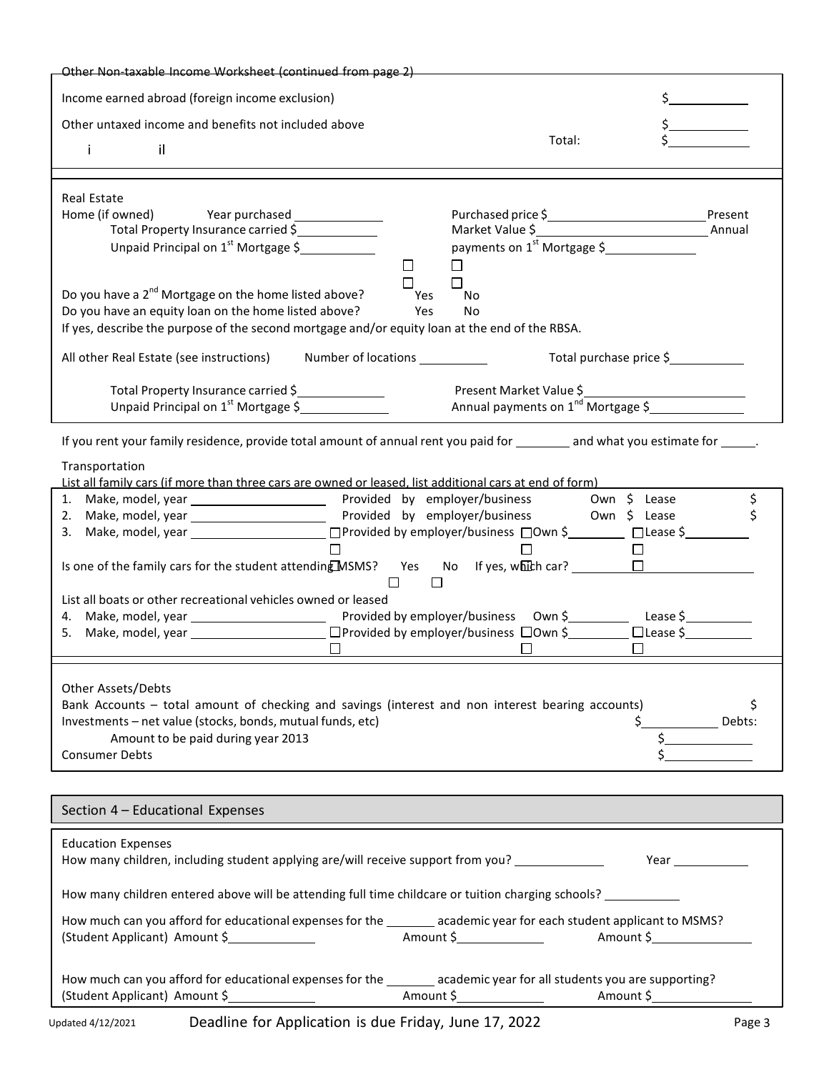| Other Non-taxable Income Worksheet (continued from page 2)                                                                                                                                                                 |                                                                           |              |
|----------------------------------------------------------------------------------------------------------------------------------------------------------------------------------------------------------------------------|---------------------------------------------------------------------------|--------------|
| Income earned abroad (foreign income exclusion)                                                                                                                                                                            |                                                                           |              |
| Other untaxed income and benefits not included above                                                                                                                                                                       |                                                                           |              |
| il.<br>j.                                                                                                                                                                                                                  | Total:                                                                    |              |
|                                                                                                                                                                                                                            |                                                                           |              |
| <b>Real Estate</b>                                                                                                                                                                                                         |                                                                           |              |
| Total Property Insurance carried \$                                                                                                                                                                                        |                                                                           |              |
| Unpaid Principal on $1^{st}$ Mortgage \$                                                                                                                                                                                   | payments on 1 <sup>st</sup> Mortgage \$<br>П<br>П                         |              |
|                                                                                                                                                                                                                            | П                                                                         |              |
| Do you have a 2 <sup>nd</sup> Mortgage on the home listed above?<br>Do you have an equity loan on the home listed above?<br>If yes, describe the purpose of the second mortgage and/or equity loan at the end of the RBSA. | Yes<br>No<br>Yes<br>No                                                    |              |
| Number of locations ___________<br>All other Real Estate (see instructions)                                                                                                                                                | Total purchase price \$                                                   |              |
| Total Property Insurance carried \$                                                                                                                                                                                        |                                                                           |              |
| Unpaid Principal on 1 <sup>st</sup> Mortgage \$                                                                                                                                                                            | Present Market Value \$<br>Annual payments on 1 <sup>nd</sup> Mortgage \$ |              |
| If you rent your family residence, provide total amount of annual rent you paid for _______ and what you estimate for _____.                                                                                               |                                                                           |              |
| Transportation                                                                                                                                                                                                             |                                                                           |              |
| List all family cars (if more than three cars are owned or leased, list additional cars at end of form)                                                                                                                    |                                                                           |              |
|                                                                                                                                                                                                                            |                                                                           | \$           |
|                                                                                                                                                                                                                            |                                                                           |              |
| $\Box$                                                                                                                                                                                                                     | □                                                                         |              |
| List all boats or other recreational vehicles owned or leased                                                                                                                                                              |                                                                           |              |
|                                                                                                                                                                                                                            |                                                                           |              |
| $\Box$                                                                                                                                                                                                                     |                                                                           |              |
| Other Assets/Debts<br>Bank Accounts - total amount of checking and savings (interest and non interest bearing accounts)<br>Investments - net value (stocks, bonds, mutual funds, etc)                                      | \$                                                                        | \$<br>Debts: |
| Amount to be paid during year 2013                                                                                                                                                                                         |                                                                           |              |
| <b>Consumer Debts</b>                                                                                                                                                                                                      |                                                                           |              |
|                                                                                                                                                                                                                            |                                                                           |              |
| Section 4 - Educational Expenses                                                                                                                                                                                           |                                                                           |              |
| <b>Education Expenses</b>                                                                                                                                                                                                  |                                                                           |              |
| How many children entered above will be attending full time childcare or tuition charging schools? __________                                                                                                              |                                                                           |              |
| How much can you afford for educational expenses for the _______ academic year for each student applicant to MSMS?                                                                                                         |                                                                           |              |
| How much can you afford for educational expenses for the _______ academic year for all students you are supporting?                                                                                                        |                                                                           |              |
|                                                                                                                                                                                                                            |                                                                           |              |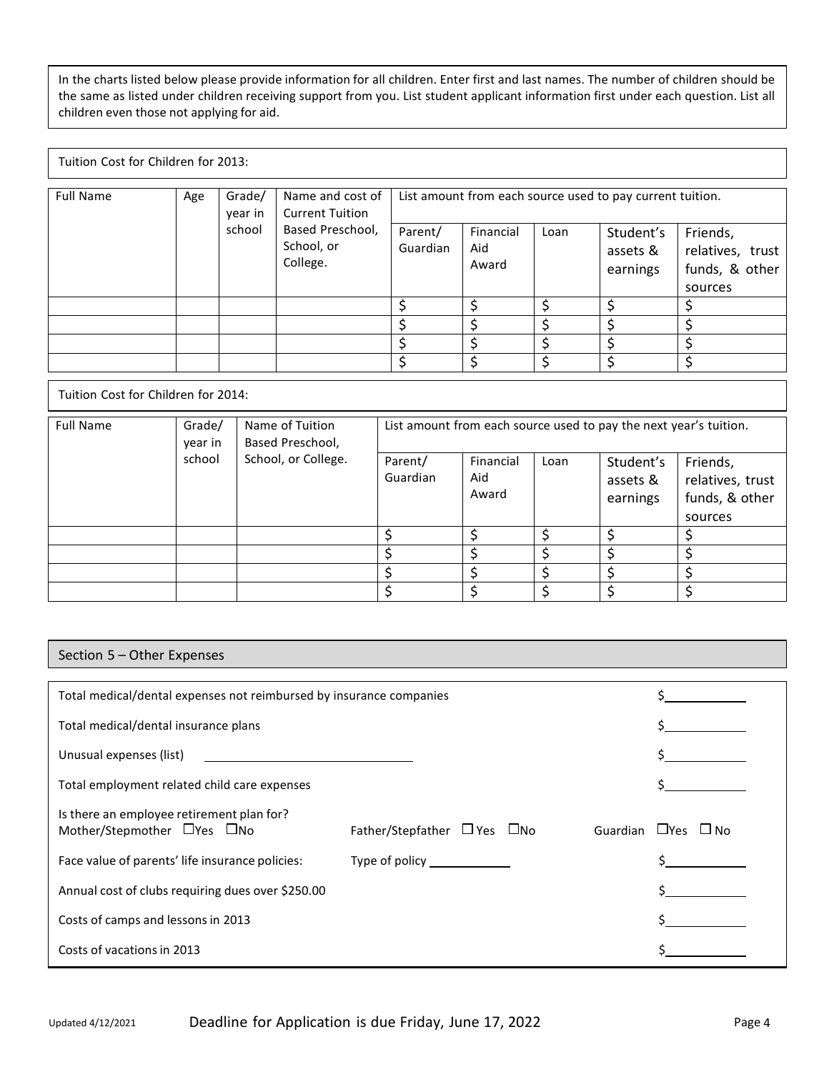In the charts listed below please provide information for all children. Enter first and last names. The number of children should be the same as listed under children receiving support from you. List student applicant information first under each question. List all children even those not applying for aid.

Tuition Cost for Children for 2013:

| <b>Full Name</b> | Age | Grade/<br>year in | Name and cost of<br><b>Current Tuition</b> | List amount from each source used to pay current tuition. |                           |      |                                   |                                                           |
|------------------|-----|-------------------|--------------------------------------------|-----------------------------------------------------------|---------------------------|------|-----------------------------------|-----------------------------------------------------------|
|                  |     | school            | Based Preschool,<br>School, or<br>College. | Parent/<br>Guardian                                       | Financial<br>Aid<br>Award | Loan | Student's<br>assets &<br>earnings | Friends,<br>relatives, trust<br>funds, & other<br>sources |
|                  |     |                   |                                            |                                                           |                           |      |                                   |                                                           |
|                  |     |                   |                                            |                                                           |                           |      |                                   |                                                           |
|                  |     |                   |                                            |                                                           |                           |      |                                   |                                                           |
|                  |     |                   |                                            |                                                           |                           |      |                                   |                                                           |

Tuition Cost for Children for 2014:

| <b>Full Name</b> | Grade/<br>year in | Name of Tuition<br>Based Preschool, | List amount from each source used to pay the next year's tuition. |                           |      |                                   |                                                           |
|------------------|-------------------|-------------------------------------|-------------------------------------------------------------------|---------------------------|------|-----------------------------------|-----------------------------------------------------------|
|                  | school            | School, or College.                 | Parent/<br>Guardian                                               | Financial<br>Aid<br>Award | Loan | Student's<br>assets &<br>earnings | Friends,<br>relatives, trust<br>funds, & other<br>sources |
|                  |                   |                                     |                                                                   |                           | ċ    |                                   |                                                           |
|                  |                   |                                     |                                                                   |                           |      |                                   |                                                           |
|                  |                   |                                     |                                                                   |                           |      |                                   |                                                           |
|                  |                   |                                     |                                                                   |                           |      |                                   |                                                           |

Section 5 – Other Expenses

| Total medical/dental expenses not reimbursed by insurance companies                   |                                                                                                                                                                                                                                      |                            |
|---------------------------------------------------------------------------------------|--------------------------------------------------------------------------------------------------------------------------------------------------------------------------------------------------------------------------------------|----------------------------|
| Total medical/dental insurance plans                                                  |                                                                                                                                                                                                                                      |                            |
| Unusual expenses (list)<br><u> 1989 - John Stein, mars and de Brazilian (b. 1989)</u> |                                                                                                                                                                                                                                      |                            |
| Total employment related child care expenses                                          |                                                                                                                                                                                                                                      |                            |
| Is there an employee retirement plan for?<br>Mother/Stepmother DYes ONo               | Father/Stepfather $\Box$ Yes $\Box$ No                                                                                                                                                                                               | Guardian<br>$L$ Yes $L$ No |
| Face value of parents' life insurance policies:                                       | Type of policy <b>contains the contact of the contact of the contact of the contact of the contact of the contact of the contact of the contact of the contact of the contact of the contact of the contact of the contact of th</b> |                            |
| Annual cost of clubs requiring dues over \$250.00                                     |                                                                                                                                                                                                                                      |                            |
| Costs of camps and lessons in 2013                                                    |                                                                                                                                                                                                                                      |                            |
| Costs of vacations in 2013                                                            |                                                                                                                                                                                                                                      |                            |